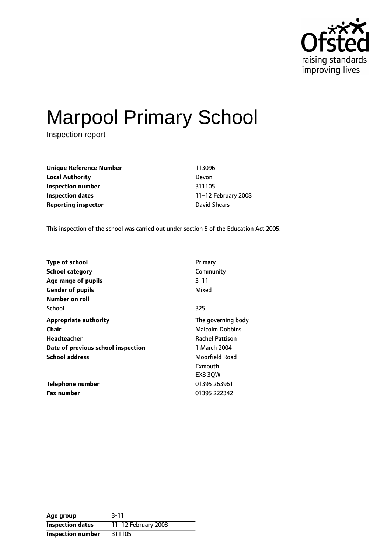

# Marpool Primary School

Inspection report

**Unique Reference Number** 113096 **Local Authority** Devon **Inspection number** 311105 **Inspection dates** 11-12 February 2008 **Reporting inspector David Shears** 

This inspection of the school was carried out under section 5 of the Education Act 2005.

| <b>Type of school</b>              | Primary                |
|------------------------------------|------------------------|
| <b>School category</b>             | Community              |
| Age range of pupils                | $3 - 11$               |
| <b>Gender of pupils</b>            | Mixed                  |
| Number on roll                     |                        |
| School                             | 325                    |
| <b>Appropriate authority</b>       | The governing body     |
| Chair                              | <b>Malcolm Dobbins</b> |
| Headteacher                        | <b>Rachel Pattison</b> |
| Date of previous school inspection | 1 March 2004           |
| <b>School address</b>              | Moorfield Road         |
|                                    | Exmouth                |
|                                    | EX8 30W                |
| Telephone number                   | 01395 263961           |
| <b>Fax number</b>                  | 01395 222342           |

| Age group                | $3 - 11$              |
|--------------------------|-----------------------|
| <b>Inspection dates</b>  | 11-12 February $2008$ |
| <b>Inspection number</b> | 311105                |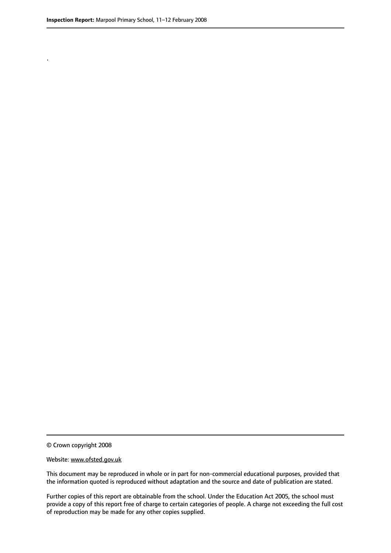.

© Crown copyright 2008

#### Website: www.ofsted.gov.uk

This document may be reproduced in whole or in part for non-commercial educational purposes, provided that the information quoted is reproduced without adaptation and the source and date of publication are stated.

Further copies of this report are obtainable from the school. Under the Education Act 2005, the school must provide a copy of this report free of charge to certain categories of people. A charge not exceeding the full cost of reproduction may be made for any other copies supplied.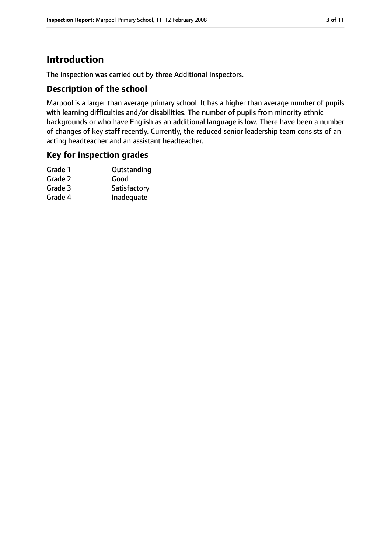# **Introduction**

The inspection was carried out by three Additional Inspectors.

## **Description of the school**

Marpool is a larger than average primary school. It has a higher than average number of pupils with learning difficulties and/or disabilities. The number of pupils from minority ethnic backgrounds or who have English as an additional language is low. There have been a number of changes of key staff recently. Currently, the reduced senior leadership team consists of an acting headteacher and an assistant headteacher.

## **Key for inspection grades**

| Outstanding  |
|--------------|
| Good         |
| Satisfactory |
| Inadequate   |
|              |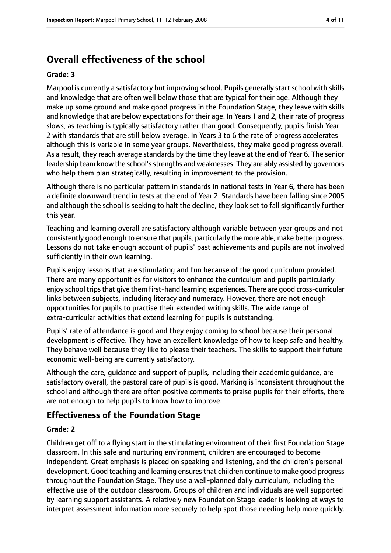# **Overall effectiveness of the school**

#### **Grade: 3**

Marpool is currently a satisfactory but improving school. Pupils generally start school with skills and knowledge that are often well below those that are typical for their age. Although they make up some ground and make good progress in the Foundation Stage, they leave with skills and knowledge that are below expectations for their age. In Years 1 and 2, their rate of progress slows, as teaching is typically satisfactory rather than good. Consequently, pupils finish Year 2 with standards that are still below average. In Years 3 to 6 the rate of progress accelerates although this is variable in some year groups. Nevertheless, they make good progress overall. As a result, they reach average standards by the time they leave at the end of Year 6. The senior leadership team know the school's strengths and weaknesses. They are ably assisted by governors who help them plan strategically, resulting in improvement to the provision.

Although there is no particular pattern in standards in national tests in Year 6, there has been a definite downward trend in tests at the end of Year 2. Standards have been falling since 2005 and although the school is seeking to halt the decline, they look set to fall significantly further this year.

Teaching and learning overall are satisfactory although variable between year groups and not consistently good enough to ensure that pupils, particularly the more able, make better progress. Lessons do not take enough account of pupils' past achievements and pupils are not involved sufficiently in their own learning.

Pupils enjoy lessons that are stimulating and fun because of the good curriculum provided. There are many opportunities for visitors to enhance the curriculum and pupils particularly enjoy school trips that give them first-hand learning experiences. There are good cross-curricular links between subjects, including literacy and numeracy. However, there are not enough opportunities for pupils to practise their extended writing skills. The wide range of extra-curricular activities that extend learning for pupils is outstanding.

Pupils' rate of attendance is good and they enjoy coming to school because their personal development is effective. They have an excellent knowledge of how to keep safe and healthy. They behave well because they like to please their teachers. The skills to support their future economic well-being are currently satisfactory.

Although the care, guidance and support of pupils, including their academic guidance, are satisfactory overall, the pastoral care of pupils is good. Marking is inconsistent throughout the school and although there are often positive comments to praise pupils for their efforts, there are not enough to help pupils to know how to improve.

## **Effectiveness of the Foundation Stage**

#### **Grade: 2**

Children get off to a flying start in the stimulating environment of their first Foundation Stage classroom. In this safe and nurturing environment, children are encouraged to become independent. Great emphasis is placed on speaking and listening, and the children's personal development. Good teaching and learning ensuresthat children continue to make good progress throughout the Foundation Stage. They use a well-planned daily curriculum, including the effective use of the outdoor classroom. Groups of children and individuals are well supported by learning support assistants. A relatively new Foundation Stage leader is looking at ways to interpret assessment information more securely to help spot those needing help more quickly.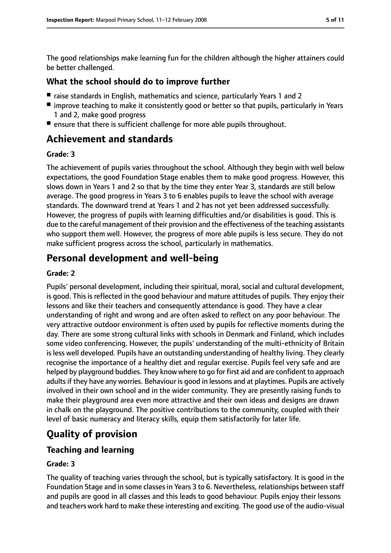The good relationships make learning fun for the children although the higher attainers could be better challenged.

#### **What the school should do to improve further**

- raise standards in English, mathematics and science, particularly Years 1 and 2
- improve teaching to make it consistently good or better so that pupils, particularly in Years 1 and 2, make good progress
- ensure that there is sufficient challenge for more able pupils throughout.

## **Achievement and standards**

#### **Grade: 3**

The achievement of pupils varies throughout the school. Although they begin with well below expectations, the good Foundation Stage enables them to make good progress. However, this slows down in Years 1 and 2 so that by the time they enter Year 3, standards are still below average. The good progress in Years 3 to 6 enables pupils to leave the school with average standards. The downward trend at Years 1 and 2 has not yet been addressed successfully. However, the progress of pupils with learning difficulties and/or disabilities is good. This is due to the careful management of their provision and the effectiveness of the teaching assistants who support them well. However, the progress of more able pupils is less secure. They do not make sufficient progress across the school, particularly in mathematics.

## **Personal development and well-being**

#### **Grade: 2**

Pupils' personal development, including their spiritual, moral, social and cultural development, is good. This is reflected in the good behaviour and mature attitudes of pupils. They enjoy their lessons and like their teachers and consequently attendance is good. They have a clear understanding of right and wrong and are often asked to reflect on any poor behaviour. The very attractive outdoor environment is often used by pupils for reflective moments during the day. There are some strong cultural links with schools in Denmark and Finland, which includes some video conferencing. However, the pupils' understanding of the multi-ethnicity of Britain is less well developed. Pupils have an outstanding understanding of healthy living. They clearly recognise the importance of a healthy diet and regular exercise. Pupils feel very safe and are helped by playground buddies. They know where to go for first aid and are confident to approach adults if they have any worries. Behaviour is good in lessons and at playtimes. Pupils are actively involved in their own school and in the wider community. They are presently raising funds to make their playground area even more attractive and their own ideas and designs are drawn in chalk on the playground. The positive contributions to the community, coupled with their level of basic numeracy and literacy skills, equip them satisfactorily for later life.

# **Quality of provision**

## **Teaching and learning**

#### **Grade: 3**

The quality of teaching varies through the school, but is typically satisfactory. It is good in the Foundation Stage and in some classes in Years 3 to 6. Nevertheless, relationships between staff and pupils are good in all classes and this leads to good behaviour. Pupils enjoy their lessons and teachers work hard to make these interesting and exciting. The good use of the audio-visual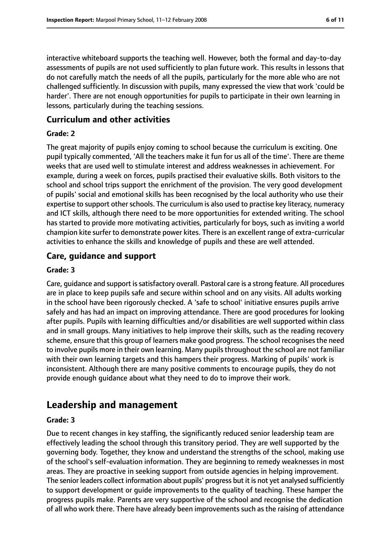interactive whiteboard supports the teaching well. However, both the formal and day-to-day assessments of pupils are not used sufficiently to plan future work. This results in lessons that do not carefully match the needs of all the pupils, particularly for the more able who are not challenged sufficiently. In discussion with pupils, many expressed the view that work 'could be harder'. There are not enough opportunities for pupils to participate in their own learning in lessons, particularly during the teaching sessions.

## **Curriculum and other activities**

#### **Grade: 2**

The great majority of pupils enjoy coming to school because the curriculum is exciting. One pupil typically commented, 'All the teachers make it fun for us all of the time'. There are theme weeks that are used well to stimulate interest and address weaknesses in achievement. For example, during a week on forces, pupils practised their evaluative skills. Both visitors to the school and school trips support the enrichment of the provision. The very good development of pupils' social and emotional skills has been recognised by the local authority who use their expertise to support other schools. The curriculum is also used to practise key literacy, numeracy and ICT skills, although there need to be more opportunities for extended writing. The school has started to provide more motivating activities, particularly for boys, such as inviting a world champion kite surfer to demonstrate power kites. There is an excellent range of extra-curricular activities to enhance the skills and knowledge of pupils and these are well attended.

## **Care, guidance and support**

#### **Grade: 3**

Care, guidance and support issatisfactory overall. Pastoral care is a strong feature. All procedures are in place to keep pupils safe and secure within school and on any visits. All adults working in the school have been rigorously checked. A 'safe to school' initiative ensures pupils arrive safely and has had an impact on improving attendance. There are good procedures for looking after pupils. Pupils with learning difficulties and/or disabilities are well supported within class and in small groups. Many initiatives to help improve their skills, such as the reading recovery scheme, ensure that this group of learners make good progress. The school recognisesthe need to involve pupils more in their own learning. Many pupils throughout the school are not familiar with their own learning targets and this hampers their progress. Marking of pupils' work is inconsistent. Although there are many positive comments to encourage pupils, they do not provide enough guidance about what they need to do to improve their work.

# **Leadership and management**

#### **Grade: 3**

Due to recent changes in key staffing, the significantly reduced senior leadership team are effectively leading the school through this transitory period. They are well supported by the governing body. Together, they know and understand the strengths of the school, making use of the school's self-evaluation information. They are beginning to remedy weaknesses in most areas. They are proactive in seeking support from outside agencies in helping improvement. The senior leaders collect information about pupils' progress but it is not yet analysed sufficiently to support development or guide improvements to the quality of teaching. These hamper the progress pupils make. Parents are very supportive of the school and recognise the dedication of all who work there. There have already been improvements such as the raising of attendance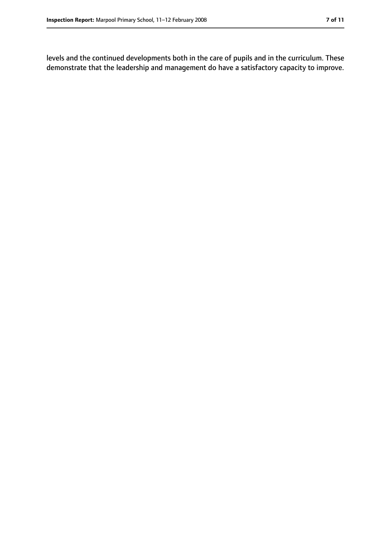levels and the continued developments both in the care of pupils and in the curriculum. These demonstrate that the leadership and management do have a satisfactory capacity to improve.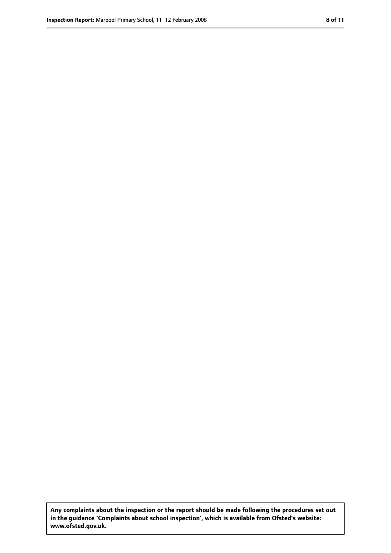**Any complaints about the inspection or the report should be made following the procedures set out in the guidance 'Complaints about school inspection', which is available from Ofsted's website: www.ofsted.gov.uk.**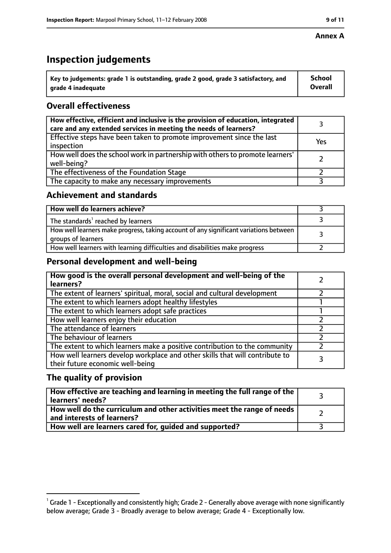#### **Annex A**

# **Inspection judgements**

| $^{\backprime}$ Key to judgements: grade 1 is outstanding, grade 2 good, grade 3 satisfactory, and | <b>School</b>  |
|----------------------------------------------------------------------------------------------------|----------------|
| arade 4 inadequate                                                                                 | <b>Overall</b> |

## **Overall effectiveness**

| How effective, efficient and inclusive is the provision of education, integrated<br>care and any extended services in meeting the needs of learners? |     |
|------------------------------------------------------------------------------------------------------------------------------------------------------|-----|
| Effective steps have been taken to promote improvement since the last<br>inspection                                                                  | Yes |
| How well does the school work in partnership with others to promote learners'<br>well-being?                                                         |     |
| The effectiveness of the Foundation Stage                                                                                                            |     |
| The capacity to make any necessary improvements                                                                                                      |     |

## **Achievement and standards**

| How well do learners achieve?                                                                               |  |
|-------------------------------------------------------------------------------------------------------------|--|
| The standards <sup>1</sup> reached by learners                                                              |  |
| How well learners make progress, taking account of any significant variations between<br>groups of learners |  |
| How well learners with learning difficulties and disabilities make progress                                 |  |

## **Personal development and well-being**

| How good is the overall personal development and well-being of the<br>learners?                                  |  |
|------------------------------------------------------------------------------------------------------------------|--|
| The extent of learners' spiritual, moral, social and cultural development                                        |  |
| The extent to which learners adopt healthy lifestyles                                                            |  |
| The extent to which learners adopt safe practices                                                                |  |
| How well learners enjoy their education                                                                          |  |
| The attendance of learners                                                                                       |  |
| The behaviour of learners                                                                                        |  |
| The extent to which learners make a positive contribution to the community                                       |  |
| How well learners develop workplace and other skills that will contribute to<br>their future economic well-being |  |

## **The quality of provision**

| How effective are teaching and learning in meeting the full range of the<br>learners' needs?          |  |
|-------------------------------------------------------------------------------------------------------|--|
| How well do the curriculum and other activities meet the range of needs<br>and interests of learners? |  |
| How well are learners cared for, guided and supported?                                                |  |

 $^1$  Grade 1 - Exceptionally and consistently high; Grade 2 - Generally above average with none significantly below average; Grade 3 - Broadly average to below average; Grade 4 - Exceptionally low.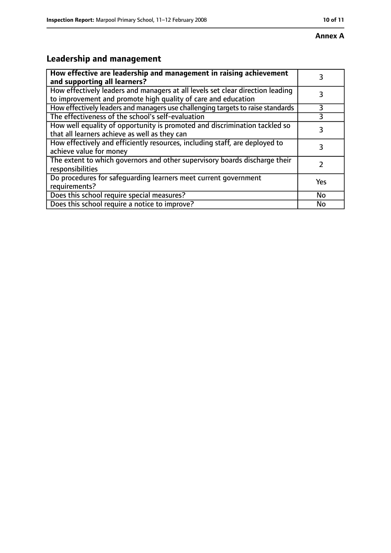# **Leadership and management**

| How effective are leadership and management in raising achievement<br>and supporting all learners?                                              | 3         |
|-------------------------------------------------------------------------------------------------------------------------------------------------|-----------|
| How effectively leaders and managers at all levels set clear direction leading<br>to improvement and promote high quality of care and education |           |
| How effectively leaders and managers use challenging targets to raise standards                                                                 | 3         |
| The effectiveness of the school's self-evaluation                                                                                               | 3         |
| How well equality of opportunity is promoted and discrimination tackled so<br>that all learners achieve as well as they can                     | 3         |
| How effectively and efficiently resources, including staff, are deployed to<br>achieve value for money                                          | 3         |
| The extent to which governors and other supervisory boards discharge their<br>responsibilities                                                  |           |
| Do procedures for safequarding learners meet current government<br>requirements?                                                                | Yes       |
| Does this school require special measures?                                                                                                      | <b>No</b> |
| Does this school require a notice to improve?                                                                                                   | No        |